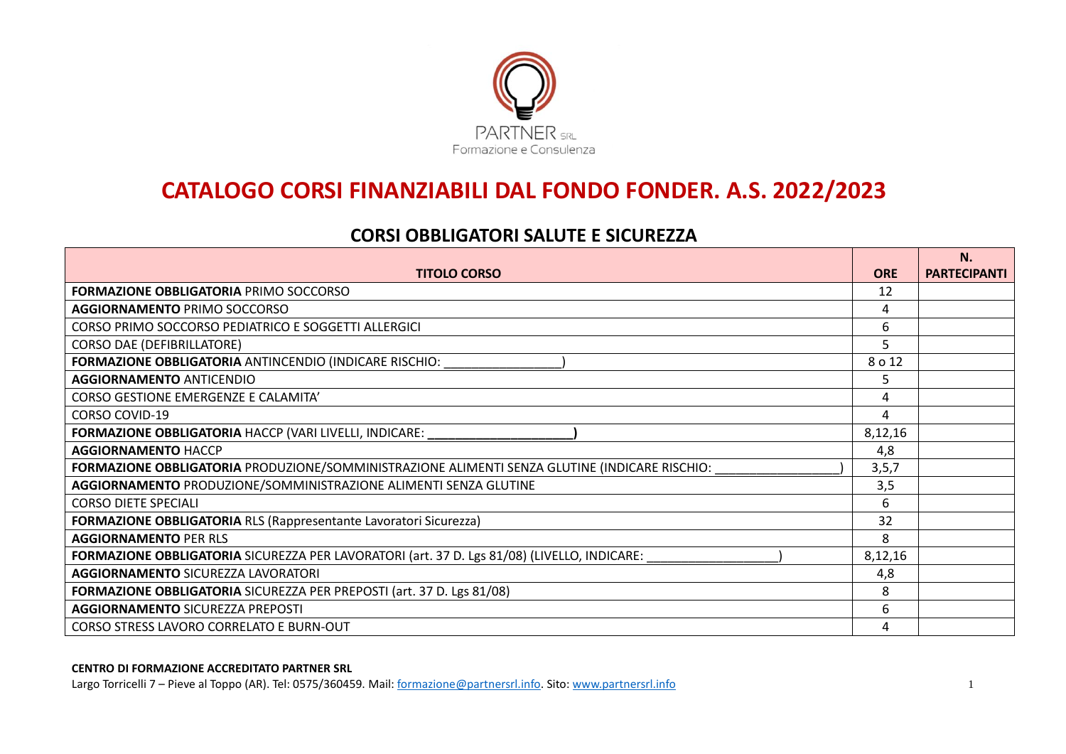

# **CATALOGO CORSI FINANZIABILI DAL FONDO FONDER. A.S. 2022/2023**

# **CORSI OBBLIGATORI SALUTE E SICUREZZA**

|                                                                                               |            | N.                  |
|-----------------------------------------------------------------------------------------------|------------|---------------------|
| <b>TITOLO CORSO</b>                                                                           | <b>ORE</b> | <b>PARTECIPANTI</b> |
| <b>FORMAZIONE OBBLIGATORIA PRIMO SOCCORSO</b>                                                 | 12         |                     |
| <b>AGGIORNAMENTO PRIMO SOCCORSO</b>                                                           | 4          |                     |
| CORSO PRIMO SOCCORSO PEDIATRICO E SOGGETTI ALLERGICI                                          | 6          |                     |
| <b>CORSO DAE (DEFIBRILLATORE)</b>                                                             | 5          |                     |
| FORMAZIONE OBBLIGATORIA ANTINCENDIO (INDICARE RISCHIO:                                        | 8 o 12     |                     |
| <b>AGGIORNAMENTO ANTICENDIO</b>                                                               | 5          |                     |
| CORSO GESTIONE EMERGENZE E CALAMITA'                                                          | 4          |                     |
| <b>CORSO COVID-19</b>                                                                         | 4          |                     |
| <b>FORMAZIONE OBBLIGATORIA HACCP (VARI LIVELLI, INDICARE:</b>                                 | 8,12,16    |                     |
| <b>AGGIORNAMENTO HACCP</b>                                                                    | 4,8        |                     |
| FORMAZIONE OBBLIGATORIA PRODUZIONE/SOMMINISTRAZIONE ALIMENTI SENZA GLUTINE (INDICARE RISCHIO: | 3, 5, 7    |                     |
| AGGIORNAMENTO PRODUZIONE/SOMMINISTRAZIONE ALIMENTI SENZA GLUTINE                              | 3,5        |                     |
| <b>CORSO DIETE SPECIALI</b>                                                                   | 6          |                     |
| <b>FORMAZIONE OBBLIGATORIA RLS (Rappresentante Lavoratori Sicurezza)</b>                      | 32         |                     |
| <b>AGGIORNAMENTO PER RLS</b>                                                                  | 8          |                     |
| FORMAZIONE OBBLIGATORIA SICUREZZA PER LAVORATORI (art. 37 D. Lgs 81/08) (LIVELLO, INDICARE:   | 8,12,16    |                     |
| <b>AGGIORNAMENTO SICUREZZA LAVORATORI</b>                                                     | 4,8        |                     |
| FORMAZIONE OBBLIGATORIA SICUREZZA PER PREPOSTI (art. 37 D. Lgs 81/08)                         | 8          |                     |
| <b>AGGIORNAMENTO SICUREZZA PREPOSTI</b>                                                       | 6          |                     |
| CORSO STRESS LAVORO CORRELATO E BURN-OUT                                                      | 4          |                     |

#### **CENTRO DI FORMAZIONE ACCREDITATO PARTNER SRL**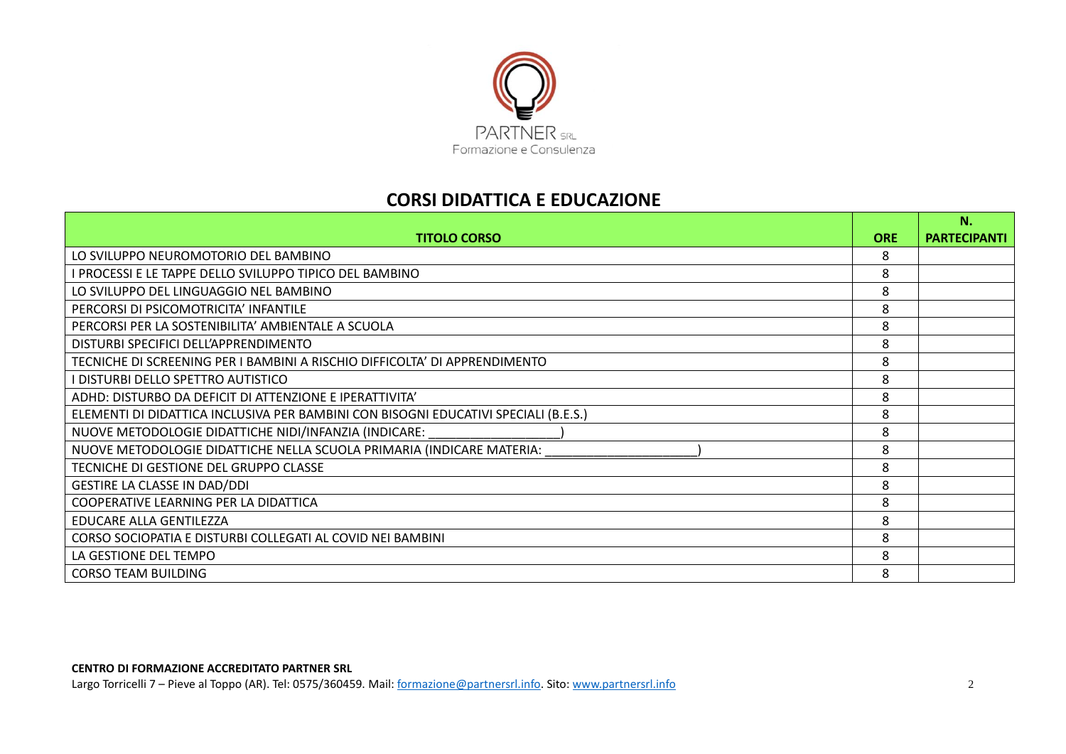

### **CORSI DIDATTICA E EDUCAZIONE**

|                                                                                     |            | N.                  |
|-------------------------------------------------------------------------------------|------------|---------------------|
| <b>TITOLO CORSO</b>                                                                 | <b>ORE</b> | <b>PARTECIPANTI</b> |
| LO SVILUPPO NEUROMOTORIO DEL BAMBINO                                                | 8          |                     |
| <b>PROCESSI E LE TAPPE DELLO SVILUPPO TIPICO DEL BAMBINO</b>                        | 8          |                     |
| LO SVILUPPO DEL LINGUAGGIO NEL BAMBINO                                              | 8          |                     |
| PERCORSI DI PSICOMOTRICITA' INFANTILE                                               | 8          |                     |
| PERCORSI PER LA SOSTENIBILITA' AMBIENTALE A SCUOLA                                  | 8          |                     |
| DISTURBI SPECIFICI DELL'APPRENDIMENTO                                               | 8          |                     |
| TECNICHE DI SCREENING PER I BAMBINI A RISCHIO DIFFICOLTA' DI APPRENDIMENTO          | 8          |                     |
| <b>I DISTURBI DELLO SPETTRO AUTISTICO</b>                                           | 8          |                     |
| ADHD: DISTURBO DA DEFICIT DI ATTENZIONE E IPERATTIVITA'                             | 8          |                     |
| ELEMENTI DI DIDATTICA INCLUSIVA PER BAMBINI CON BISOGNI EDUCATIVI SPECIALI (B.E.S.) | 8          |                     |
| NUOVE METODOLOGIE DIDATTICHE NIDI/INFANZIA (INDICARE:                               | 8          |                     |
| NUOVE METODOLOGIE DIDATTICHE NELLA SCUOLA PRIMARIA (INDICARE MATERIA:               | 8          |                     |
| TECNICHE DI GESTIONE DEL GRUPPO CLASSE                                              | 8          |                     |
| GESTIRE LA CLASSE IN DAD/DDI                                                        | 8          |                     |
| COOPERATIVE LEARNING PER LA DIDATTICA                                               | 8          |                     |
| EDUCARE ALLA GENTILEZZA                                                             | 8          |                     |
| CORSO SOCIOPATIA E DISTURBI COLLEGATI AL COVID NEI BAMBINI                          | 8          |                     |
| LA GESTIONE DEL TEMPO                                                               | 8          |                     |
| <b>CORSO TEAM BUILDING</b>                                                          | 8          |                     |

#### **CENTRO DI FORMAZIONE ACCREDITATO PARTNER SRL**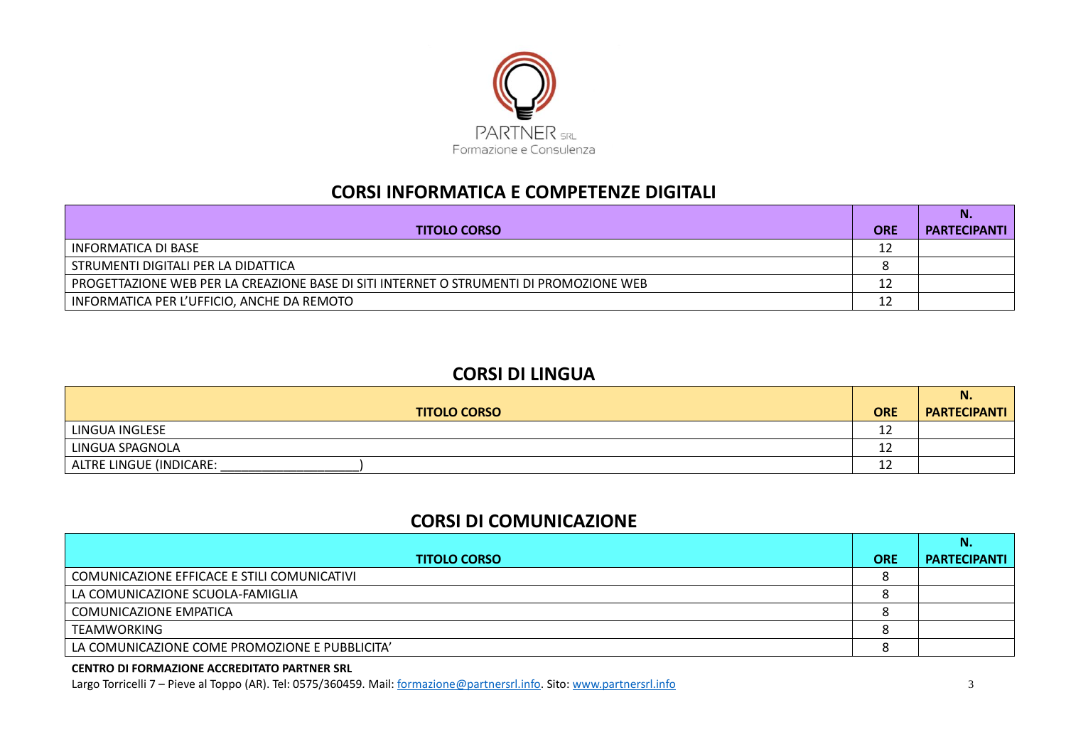

# **CORSI INFORMATICA E COMPETENZE DIGITALI**

| <b>TITOLO CORSO</b>                                                                    | <b>ORE</b> | <b>PARTECIPANTI</b> |
|----------------------------------------------------------------------------------------|------------|---------------------|
| INFORMATICA DI BASE                                                                    | 12         |                     |
| STRUMENTI DIGITALI PER LA DIDATTICA                                                    |            |                     |
| PROGETTAZIONE WEB PER LA CREAZIONE BASE DI SITI INTERNET O STRUMENTI DI PROMOZIONE WEB | 12         |                     |
| INFORMATICA PER L'UFFICIO, ANCHE DA REMOTO                                             | 12         |                     |

### **CORSI DI LINGUA**

|                         |            | N.                  |
|-------------------------|------------|---------------------|
| <b>TITOLO CORSO</b>     | <b>ORE</b> | <b>PARTECIPANTI</b> |
| LINGUA INGLESE          | ∸          |                     |
| LINGUA SPAGNOLA         | ∸          |                     |
| ALTRE LINGUE (INDICARE: | ∸∸         |                     |

# **CORSI DI COMUNICAZIONE**

| <b>TITOLO CORSO</b>                            | <b>ORE</b> | <b>PARTECIPANTI</b> |
|------------------------------------------------|------------|---------------------|
| COMUNICAZIONE EFFICACE E STILI COMUNICATIVI    |            |                     |
| LA COMUNICAZIONE SCUOLA-FAMIGLIA               |            |                     |
| COMUNICAZIONE EMPATICA                         |            |                     |
| TEAMWORKING                                    |            |                     |
| LA COMUNICAZIONE COME PROMOZIONE E PUBBLICITA' |            |                     |

### **CENTRO DI FORMAZIONE ACCREDITATO PARTNER SRL**